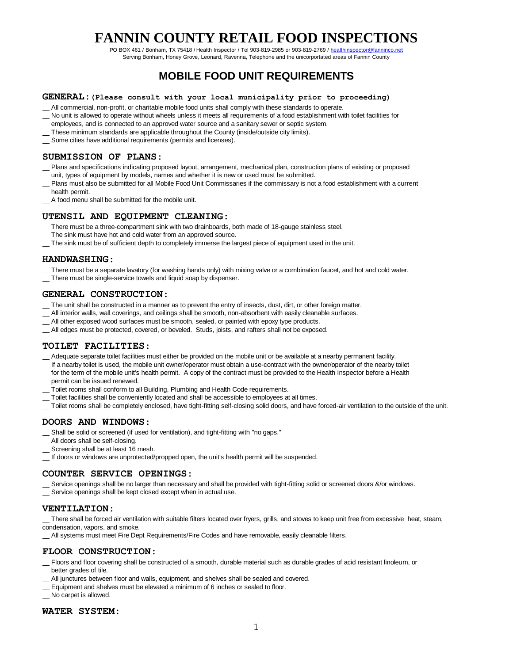PO BOX 461 / Bonham, TX 75418 / Health Inspector / Tel 903-819-2985 or 903-819-2769 / healthinspector@fanninco.net Serving Bonham, Honey Grove, Leonard, Ravenna, Telephone and the unicorportated areas of Fannin County

## **MOBILE FOOD UNIT REQUIREMENTS**

#### **GENERAL**:**(Please consult with your local municipality prior to proceeding)**

- All commercial, non-profit, or charitable mobile food units shall comply with these standards to operate.
- No unit is allowed to operate without wheels unless it meets all requirements of a food establishment with toilet facilities for
- employees, and is connected to an approved water source and a sanitary sewer or septic system.
- These minimum standards are applicable throughout the County (inside/outside city limits).
- Some cities have additional requirements (permits and licenses).

#### **SUBMISSION OF PLANS**:

- Plans and specifications indicating proposed layout, arrangement, mechanical plan, construction plans of existing or proposed unit, types of equipment by models, names and whether it is new or used must be submitted.
- Plans must also be submitted for all Mobile Food Unit Commissaries if the commissary is not a food establishment with a current health permit.
- A food menu shall be submitted for the mobile unit.

#### **UTENSIL AND EQUIPMENT CLEANING**:

- There must be a three-compartment sink with two drainboards, both made of 18-gauge stainless steel.
- The sink must have hot and cold water from an approved source.
- The sink must be of sufficient depth to completely immerse the largest piece of equipment used in the unit.

#### **HANDWASHING**:

- There must be a separate lavatory (for washing hands only) with mixing valve or a combination faucet, and hot and cold water.
- There must be single-service towels and liquid soap by dispenser.

#### **GENERAL CONSTRUCTION**:

- The unit shall be constructed in a manner as to prevent the entry of insects, dust, dirt, or other foreign matter.
- All interior walls, wall coverings, and ceilings shall be smooth, non-absorbent with easily cleanable surfaces.
- All other exposed wood surfaces must be smooth, sealed, or painted with epoxy type products.
- All edges must be protected, covered, or beveled. Studs, joists, and rafters shall not be exposed.

#### **TOILET FACILITIES**:

- Adequate separate toilet facilities must either be provided on the mobile unit or be available at a nearby permanent facility.
- If a nearby toilet is used, the mobile unit owner/operator must obtain a use-contract with the owner/operator of the nearby toilet
- for the term of the mobile unit's health permit. A copy of the contract must be provided to the Health Inspector before a Health permit can be issued renewed.
- Toilet rooms shall conform to all Building, Plumbing and Health Code requirements.
- Toilet facilities shall be conveniently located and shall be accessible to employees at all times.
- Toilet rooms shall be completely enclosed, have tight-fitting self-closing solid doors, and have forced-air ventilation to the outside of the unit.

#### **DOORS AND WINDOWS**:

- Shall be solid or screened (if used for ventilation), and tight-fitting with "no gaps."
- All doors shall be self-closing.
- Screening shall be at least 16 mesh.
- If doors or windows are unprotected/propped open, the unit's health permit will be suspended.

#### **COUNTER SERVICE OPENINGS**:

- Service openings shall be no larger than necessary and shall be provided with tight-fitting solid or screened doors &/or windows.
- Service openings shall be kept closed except when in actual use.

#### **VENTILATION**:

 There shall be forced air ventilation with suitable filters located over fryers, grills, and stoves to keep unit free from excessive heat, steam, condensation, vapors, and smoke.

All systems must meet Fire Dept Requirements/Fire Codes and have removable, easily cleanable filters.

#### **FLOOR CONSTRUCTION**:

- Floors and floor covering shall be constructed of a smooth, durable material such as durable grades of acid resistant linoleum, or better grades of tile.
- All junctures between floor and walls, equipment, and shelves shall be sealed and covered.
- Equipment and shelves must be elevated a minimum of 6 inches or sealed to floor.
- No carpet is allowed.

#### **WATER SYSTEM**: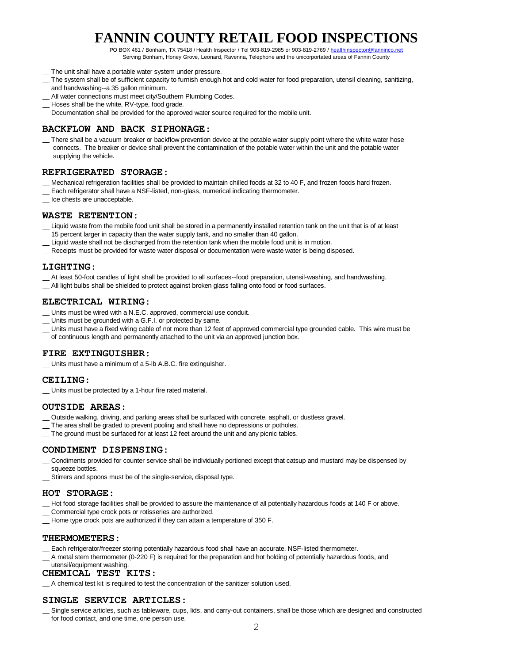PO BOX 461 / Bonham, TX 75418 / Health Inspector / Tel 903-819-2985 or 903-819-2769 / healthinspector@fanninco.net Serving Bonham, Honey Grove, Leonard, Ravenna, Telephone and the unicorportated areas of Fannin County

- 
- The unit shall have a portable water system under pressure.
- The system shall be of sufficient capacity to furnish enough hot and cold water for food preparation, utensil cleaning, sanitizing, and handwashing--a 35 gallon minimum.
- All water connections must meet city/Southern Plumbing Codes.
- Hoses shall be the white, RV-type, food grade.
- Documentation shall be provided for the approved water source required for the mobile unit.

### **BACKFLOW AND BACK SIPHONAGE**:

 There shall be a vacuum breaker or backflow prevention device at the potable water supply point where the white water hose connects. The breaker or device shall prevent the contamination of the potable water within the unit and the potable water supplying the vehicle.

#### **REFRIGERATED STORAGE**:

- Mechanical refrigeration facilities shall be provided to maintain chilled foods at 32 to 40 F, and frozen foods hard frozen.
- Each refrigerator shall have a NSF-listed, non-glass, numerical indicating thermometer.
- Ice chests are unacceptable.

#### **WASTE RETENTION**:

- Liquid waste from the mobile food unit shall be stored in a permanently installed retention tank on the unit that is of at least 15 percent larger in capacity than the water supply tank, and no smaller than 40 gallon.
- Liquid waste shall not be discharged from the retention tank when the mobile food unit is in motion.
- \_\_ Receipts must be provided for waste water disposal or documentation were waste water is being disposed.

#### **LIGHTING**:

- At least 50-foot candles of light shall be provided to all surfaces--food preparation, utensil-washing, and handwashing.
- All light bulbs shall be shielded to protect against broken glass falling onto food or food surfaces.

#### **ELECTRICAL WIRING**:

- Units must be wired with a N.E.C. approved, commercial use conduit.
- Units must be grounded with a G.F.I. or protected by same.
- Units must have a fixed wiring cable of not more than 12 feet of approved commercial type grounded cable. This wire must be of continuous length and permanently attached to the unit via an approved junction box.

#### **FIRE EXTINGUISHER**:

Units must have a minimum of a 5-lb A.B.C. fire extinguisher.

#### **CEILING**:

Units must be protected by a 1-hour fire rated material.

#### **OUTSIDE AREAS**:

- Outside walking, driving, and parking areas shall be surfaced with concrete, asphalt, or dustless gravel.
- The area shall be graded to prevent pooling and shall have no depressions or potholes.
- The ground must be surfaced for at least 12 feet around the unit and any picnic tables.

#### **CONDIMENT DISPENSING**:

- \_ Condiments provided for counter service shall be individually portioned except that catsup and mustard may be dispensed by squeeze bottles.
- Stirrers and spoons must be of the single-service, disposal type.

#### **HOT STORAGE**:

- Hot food storage facilities shall be provided to assure the maintenance of all potentially hazardous foods at 140 F or above.
- Commercial type crock pots or rotisseries are authorized.
- Home type crock pots are authorized if they can attain a temperature of 350 F.

#### **THERMOMETERS**:

- Each refrigerator/freezer storing potentially hazardous food shall have an accurate, NSF-listed thermometer.
- A metal stem thermometer (0-220 F) is required for the preparation and hot holding of potentially hazardous foods, and

#### utensil/equipment washing. **CHEMICAL TEST KITS**:

A chemical test kit is required to test the concentration of the sanitizer solution used.

#### **SINGLE SERVICE ARTICLES**:

 Single service articles, such as tableware, cups, lids, and carry-out containers, shall be those which are designed and constructed for food contact, and one time, one person use.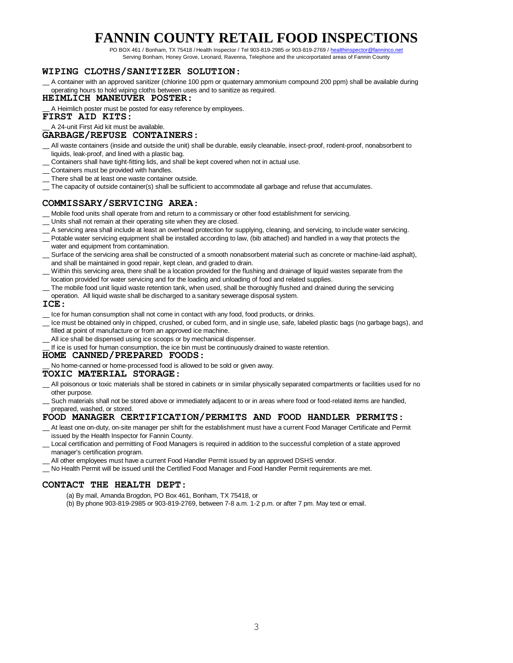PO BOX 461 / Bonham, TX 75418 / Health Inspector / Tel 903-819-2985 or 903-819-2769 / healthinspector@fanninco.net Serving Bonham, Honey Grove, Leonard, Ravenna, Telephone and the unicorportated areas of Fannin County

#### **WIPING CLOTHS/SANITIZER SOLUTION**:

 A container with an approved sanitizer (chlorine 100 ppm or quaternary ammonium compound 200 ppm) shall be available during operating hours to hold wiping cloths between uses and to sanitize as required.

#### **HEIMLICH MANEUVER POSTER**:

A Heimlich poster must be posted for easy reference by employees.

**FIRST AID KITS**:

### A 24-unit First Aid kit must be available.

#### **GARBAGE/REFUSE CONTAINERS**:

- All waste containers (inside and outside the unit) shall be durable, easily cleanable, insect-proof, rodent-proof, nonabsorbent to liquids, leak-proof, and lined with a plastic bag.
- Containers shall have tight-fitting lids, and shall be kept covered when not in actual use.
- Containers must be provided with handles.
- There shall be at least one waste container outside.
- The capacity of outside container(s) shall be sufficient to accommodate all garbage and refuse that accumulates.

#### **COMMISSARY/SERVICING AREA**:

- \_ Mobile food units shall operate from and return to a commissary or other food establishment for servicing.
- Units shall not remain at their operating site when they are closed.
- \_ A servicing area shall include at least an overhead protection for supplying, cleaning, and servicing, to include water servicing.
- Potable water servicing equipment shall be installed according to law, (bib attached) and handled in a way that protects the water and equipment from contamination.
- Surface of the servicing area shall be constructed of a smooth nonabsorbent material such as concrete or machine-laid asphalt), and shall be maintained in good repair, kept clean, and graded to drain.
- Within this servicing area, there shall be a location provided for the flushing and drainage of liquid wastes separate from the location provided for water servicing and for the loading and unloading of food and related supplies.
- The mobile food unit liquid waste retention tank, when used, shall be thoroughly flushed and drained during the servicing
- operation. All liquid waste shall be discharged to a sanitary sewerage disposal system.

#### **ICE**:

- Le for human consumption shall not come in contact with any food, food products, or drinks.
- Ice must be obtained only in chipped, crushed, or cubed form, and in single use, safe, labeled plastic bags (no garbage bags), and filled at point of manufacture or from an approved ice machine.
- All ice shall be dispensed using ice scoops or by mechanical dispenser.
- If ice is used for human consumption, the ice bin must be continuously drained to waste retention.

#### **HOME CANNED/PREPARED FOODS**:

No home-canned or home-processed food is allowed to be sold or given away.

#### **TOXIC MATERIAL STORAGE**:

- All poisonous or toxic materials shall be stored in cabinets or in similar physically separated compartments or facilities used for no other purpose.
- Such materials shall not be stored above or immediately adjacent to or in areas where food or food-related items are handled, prepared, washed, or stored.

#### **FOOD MANAGER CERTIFICATION/PERMITS AND FOOD HANDLER PERMITS**:

- At least one on-duty, on-site manager per shift for the establishment must have a current Food Manager Certificate and Permit issued by the Health Inspector for Fannin County.
- Local certification and permitting of Food Managers is required in addition to the successful completion of a state approved manager's certification program.
- \_ All other employees must have a current Food Handler Permit issued by an approved DSHS vendor.
- No Health Permit will be issued until the Certified Food Manager and Food Handler Permit requirements are met.

#### **CONTACT THE HEALTH DEPT**:

(a) By mail, Amanda Brogdon, PO Box 461, Bonham, TX 75418, or

(b) By phone 903-819-2985 or 903-819-2769, between 7-8 a.m. 1-2 p.m. or after 7 pm. May text or email.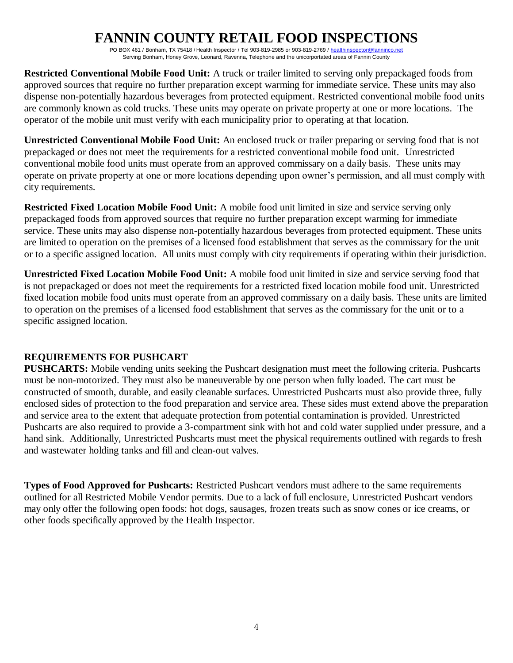PO BOX 461 / Bonham, TX 75418 / Health Inspector / Tel 903-819-2985 or 903-819-2769 / healthinspector@fanninco.net Serving Bonham, Honey Grove, Leonard, Ravenna, Telephone and the unicorportated areas of Fannin County

**Restricted Conventional Mobile Food Unit:** A truck or trailer limited to serving only prepackaged foods from approved sources that require no further preparation except warming for immediate service. These units may also dispense non-potentially hazardous beverages from protected equipment. Restricted conventional mobile food units are commonly known as cold trucks. These units may operate on private property at one or more locations. The operator of the mobile unit must verify with each municipality prior to operating at that location.

**Unrestricted Conventional Mobile Food Unit:** An enclosed truck or trailer preparing or serving food that is not prepackaged or does not meet the requirements for a restricted conventional mobile food unit. Unrestricted conventional mobile food units must operate from an approved commissary on a daily basis. These units may operate on private property at one or more locations depending upon owner's permission, and all must comply with city requirements.

**Restricted Fixed Location Mobile Food Unit:** A mobile food unit limited in size and service serving only prepackaged foods from approved sources that require no further preparation except warming for immediate service. These units may also dispense non-potentially hazardous beverages from protected equipment. These units are limited to operation on the premises of a licensed food establishment that serves as the commissary for the unit or to a specific assigned location. All units must comply with city requirements if operating within their jurisdiction.

**Unrestricted Fixed Location Mobile Food Unit:** A mobile food unit limited in size and service serving food that is not prepackaged or does not meet the requirements for a restricted fixed location mobile food unit. Unrestricted fixed location mobile food units must operate from an approved commissary on a daily basis. These units are limited to operation on the premises of a licensed food establishment that serves as the commissary for the unit or to a specific assigned location.

### **REQUIREMENTS FOR PUSHCART**

**PUSHCARTS:** Mobile vending units seeking the Pushcart designation must meet the following criteria. Pushcarts must be non-motorized. They must also be maneuverable by one person when fully loaded. The cart must be constructed of smooth, durable, and easily cleanable surfaces. Unrestricted Pushcarts must also provide three, fully enclosed sides of protection to the food preparation and service area. These sides must extend above the preparation and service area to the extent that adequate protection from potential contamination is provided. Unrestricted Pushcarts are also required to provide a 3-compartment sink with hot and cold water supplied under pressure, and a hand sink. Additionally, Unrestricted Pushcarts must meet the physical requirements outlined with regards to fresh and wastewater holding tanks and fill and clean-out valves.

**Types of Food Approved for Pushcarts:** Restricted Pushcart vendors must adhere to the same requirements outlined for all Restricted Mobile Vendor permits. Due to a lack of full enclosure, Unrestricted Pushcart vendors may only offer the following open foods: hot dogs, sausages, frozen treats such as snow cones or ice creams, or other foods specifically approved by the Health Inspector.